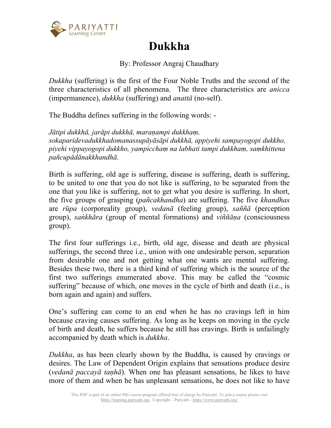

## **Dukkha**

By: Professor Angraj Chaudhary

*Dukkha* (suffering) is the first of the Four Noble Truths and the second of the three characteristics of all phenomena. The three characteristics are *anicca* (impermanence), *dukkha* (suffering) and *anattā* (no-self).

The Buddha defines suffering in the following words: -

*Jātipi dukkhā, jarāpi dukkhā, maraṇampi dukkhaṃ, sokaparidevadukkhadomanassupāyāsāpi dukkhā, appiyehi sampayogopi dukkho, piyehi vippayogopi dukkho, yampicchaṃ na labhati tampi dukkhaṃ, saṃkhittena pañcupādānakkhandhā*.

Birth is suffering, old age is suffering, disease is suffering, death is suffering, to be united to one that you do not like is suffering, to be separated from the one that you like is suffering, not to get what you desire is suffering. In short, the five groups of grasping (*pañcakhandha*) are suffering. The five *khandhas* are *rūpa* (corporeality group), *vedanā* (feeling group), *saññā* (perception group), *saṅkhāra* (group of mental formations) and *viññāṇa* (consciousness group).

The first four sufferings i.e., birth, old age, disease and death are physical sufferings, the second three i.e., union with one undesirable person, separation from desirable one and not getting what one wants are mental suffering. Besides these two, there is a third kind of suffering which is the source of the first two sufferings enumerated above. This may be called the "cosmic suffering" because of which, one moves in the cycle of birth and death (i.e., is born again and again) and suffers.

One's suffering can come to an end when he has no cravings left in him because craving causes suffering. As long as he keeps on moving in the cycle of birth and death, he suffers because he still has cravings. Birth is unfailingly accompanied by death which is *dukkha*.

*Dukkha*, as has been clearly shown by the Buddha, is caused by cravings or desires. The Law of Dependent Origin explains that sensations produce desire (*vedanā paccayā taṇhā*). When one has pleasant sensations, he likes to have more of them and when he has unpleasant sensations, he does not like to have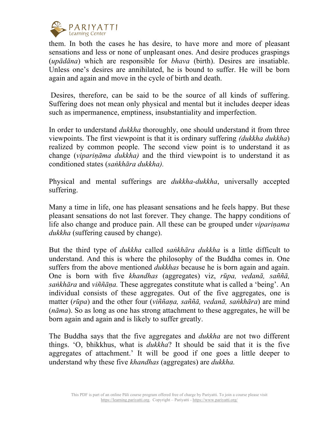

them. In both the cases he has desire, to have more and more of pleasant sensations and less or none of unpleasant ones. And desire produces graspings (*upādāna*) which are responsible for *bhava* (birth). Desires are insatiable. Unless one's desires are annihilated, he is bound to suffer. He will be born again and again and move in the cycle of birth and death.

Desires, therefore, can be said to be the source of all kinds of suffering. Suffering does not mean only physical and mental but it includes deeper ideas such as impermanence, emptiness, insubstantiality and imperfection.

In order to understand *dukkha* thoroughly, one should understand it from three viewpoints. The first viewpoint is that it is ordinary suffering *(dukkha dukkha*) realized by common people. The second view point is to understand it as change (*vipariṇāma dukkha)* and the third viewpoint is to understand it as conditioned states (*saṅkhāra dukkha).*

Physical and mental sufferings are *dukkha-dukkha*, universally accepted suffering.

Many a time in life, one has pleasant sensations and he feels happy. But these pleasant sensations do not last forever. They change. The happy conditions of life also change and produce pain. All these can be grouped under *viparinama dukkha* (suffering caused by change).

But the third type of *dukkha* called *saṅkhāra dukkha* is a little difficult to understand. And this is where the philosophy of the Buddha comes in. One suffers from the above mentioned *dukkhas* because he is born again and again. One is born with five *khandhas* (aggregates) viz, *rūpa, vedanā, saññā, saṅkhāra* and *viññāṇa.* These aggregates constitute what is called a 'being'. An individual consists of these aggregates. Out of the five aggregates, one is matter (*rūpa*) and the other four (*viññaṇa, saññā, vedanā, saṅkhāra*) are mind (*nāma*). So as long as one has strong attachment to these aggregates, he will be born again and again and is likely to suffer greatly.

The Buddha says that the five aggregates and *dukkha* are not two different things. 'O, bhikkhus, what is *dukkha*? It should be said that it is the five aggregates of attachment.' It will be good if one goes a little deeper to understand why these five *khandhas* (aggregates) are *dukkha.*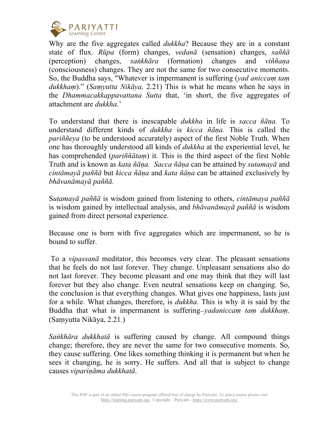

Why are the five aggregates called *dukkha*? Because they are in a constant state of flux. *Rūpa* (form) changes, *vedanā* (sensation) changes, *saññā* (perception) changes, *saṅkhāra* (formation) changes and *viññaṇa*  (consciousness) changes. They are not the same for two consecutive moments. So, the Buddha says, "Whatever is impermanent is suffering (*yad aniccaṃ taṃ dukkhaṃ*)." (*Saṃyutta Nikāya,* 2.21) This is what he means when he says in the *Dhammacakkappavattana Sutta* that, 'in short, the five aggregates of attachment are *dukkha*.'

To understand that there is inescapable *dukkha* in life is *sacca ñāṇa.* To understand different kinds of *dukkha* is *kicca ñāṇa.* This is called the *pariññeya* (to be understood accurately) aspect of the first Noble Truth. When one has thoroughly understood all kinds of *dukkha* at the experiential level, he has comprehended (*pariññātaṃ*) it. This is the third aspect of the first Noble Truth and is known as *kata ñāṇa. Sacca ñāṇa* can be attained by *sutamayā* and *cintāmayā paññā* but *kicca ñāṇa* and *kata ñāṇa* can be attained exclusively by *bhāvanāmayā paññā.*

S*utamayā paññā* is wisdom gained from listening to others, *cintāmaya paññā* is wisdom gained by intellectual analysis, and *bhāvanāmayā paññā* is wisdom gained from direct personal experience.

Because one is born with five aggregates which are impermanent, so he is bound to suffer.

To a *vipassanā* meditator, this becomes very clear. The pleasant sensations that he feels do not last forever. They change. Unpleasant sensations also do not last forever. They become pleasant and one may think that they will last forever but they also change. Even neutral sensations keep on changing. So, the conclusion is that everything changes. What gives one happiness, lasts just for a while. What changes, therefore, is *dukkha*. This is why it is said by the Buddha that what is impermanent is suffering—*yadaniccaṃ taṃ dukkhaṃ*. (Saṃyutta Nikāya, 2.21.)

*Saṅkhāra dukkhatā* is suffering caused by change. All compound things change; therefore, they are never the same for two consecutive moments. So, they cause suffering. One likes something thinking it is permanent but when he sees it changing, he is sorry. He suffers. And all that is subject to change causes *vipariṇāma dukkhatā*.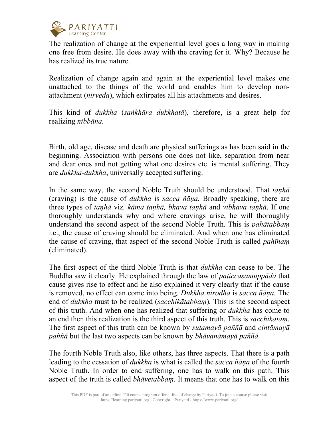

The realization of change at the experiential level goes a long way in making one free from desire. He does away with the craving for it. Why? Because he has realized its true nature.

Realization of change again and again at the experiential level makes one unattached to the things of the world and enables him to develop nonattachment (*nirveda*), which extirpates all his attachments and desires.

This kind of *dukkha* (*saṅkhāra dukkhatā*), therefore, is a great help for realizing *nibbāna.*

Birth, old age, disease and death are physical sufferings as has been said in the beginning. Association with persons one does not like, separation from near and dear ones and not getting what one desires etc. is mental suffering. They are *dukkha-dukkha*, universally accepted suffering.

In the same way, the second Noble Truth should be understood. That *taṇhā* (craving) is the cause of *dukkha* is *sacca ñāṇa.* Broadly speaking, there are three types of *taṇhā* viz*. kāma taṇhā, bhava taṇhā* and *vibhava taṇhā*. If one thoroughly understands why and where cravings arise, he will thoroughly understand the second aspect of the second Noble Truth. This is *pahātabbaṃ* i.e., the cause of craving should be eliminated. And when one has eliminated the cause of craving, that aspect of the second Noble Truth is called *pahīnaṃ* (eliminated).

The first aspect of the third Noble Truth is that *dukkha* can cease to be. The Buddha saw it clearly. He explained through the law of *paṭiccasamuppāda* that cause gives rise to effect and he also explained it very clearly that if the cause is removed, no effect can come into being. *Dukkha nirodha* is *sacca ñāṇa.* The end of *dukkha* must to be realized (*sacchikātabbaṃ*)*.* This is the second aspect of this truth. And when one has realized that suffering or *dukkha* has come to an end then this realization is the third aspect of this truth. This is *sacchikataṃ*. The first aspect of this truth can be known by *sutamayā paññā* and *cintāmayā paññā* but the last two aspects can be known by *bhāvanāmayā paññā.*

The fourth Noble Truth also, like others, has three aspects. That there is a path leading to the cessation of *dukkha* is what is called the *sacca ñāṇa* of the fourth Noble Truth. In order to end suffering, one has to walk on this path. This aspect of the truth is called *bhāvetabbaṃ.* It means that one has to walk on this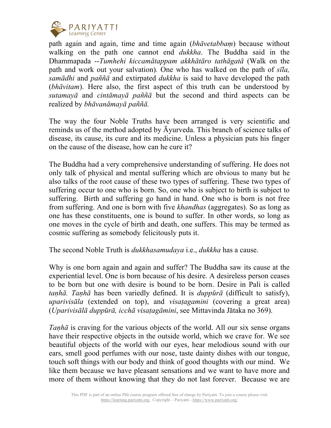

path again and again, time and time again (*bhāvetabbaṃ*) because without walking on the path one cannot end *dukkha*. The Buddha said in the Dhammapada --*Tumhehi kiccamātappam akkhātāro tathāgatā* (Walk on the path and work out your salvation)*.* One who has walked on the path of *sīla, samādhi* and *paññā* and extirpated *dukkha* is said to have developed the path (*bhāvitam*). Here also, the first aspect of this truth can be understood by *sutamayā* and *cintāmayā paññā* but the second and third aspects can be realized by *bhāvanāmayā paññā.*

The way the four Noble Truths have been arranged is very scientific and reminds us of the method adopted by Āyurveda. This branch of science talks of disease, its cause, its cure and its medicine. Unless a physician puts his finger on the cause of the disease, how can he cure it?

The Buddha had a very comprehensive understanding of suffering. He does not only talk of physical and mental suffering which are obvious to many but he also talks of the root cause of these two types of suffering. These two types of suffering occur to one who is born. So, one who is subject to birth is subject to suffering. Birth and suffering go hand in hand. One who is born is not free from suffering. And one is born with five *khandhas* (aggregates). So as long as one has these constituents, one is bound to suffer. In other words, so long as one moves in the cycle of birth and death, one suffers. This may be termed as cosmic suffering as somebody felicitously puts it.

The second Noble Truth is *dukkhasamudaya* i.e., *dukkha* has a cause.

Why is one born again and again and suffer? The Buddha saw its cause at the experiential level. One is born because of his desire. A desireless person ceases to be born but one with desire is bound to be born. Desire in Pali is called *taṇhā. Taṇhā* has been variedly defined. It is *duppūrā* (difficult to satisfy), *uparivisāla* (extended on top), and *visaṭagamini* (covering a great area) (*Uparivisālā duppūrā, icchā visaṭagāmini*, see Mittavinda Jātaka no 369).

*Tanha* is craving for the various objects of the world. All our six sense organs have their respective objects in the outside world, which we crave for. We see beautiful objects of the world with our eyes, hear melodious sound with our ears, smell good perfumes with our nose, taste dainty dishes with our tongue, touch soft things with our body and think of good thoughts with our mind. We like them because we have pleasant sensations and we want to have more and more of them without knowing that they do not last forever. Because we are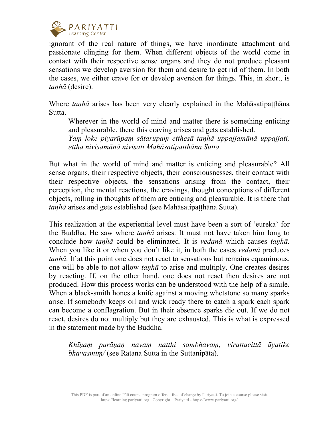

ignorant of the real nature of things, we have inordinate attachment and passionate clinging for them. When different objects of the world come in contact with their respective sense organs and they do not produce pleasant sensations we develop aversion for them and desire to get rid of them. In both the cases, we either crave for or develop aversion for things. This, in short, is *taṇhā* (desire).

Where *taṇhā* arises has been very clearly explained in the Mahāsatipaṭṭhāna Sutta.

Wherever in the world of mind and matter there is something enticing and pleasurable, there this craving arises and gets established.

*Yaṃ loke piyarūpaṃ sātarupaṃ etthesā taṇhā uppajjamānā uppajjati, ettha nivisamānā nivisati Mahāsatipaṭṭhāna Sutta.*

But what in the world of mind and matter is enticing and pleasurable? All sense organs, their respective objects, their consciousnesses, their contact with their respective objects, the sensations arising from the contact, their perception, the mental reactions, the cravings, thought conceptions of different objects, rolling in thoughts of them are enticing and pleasurable. It is there that *taṇhā* arises and gets established (see Mahāsatipaṭṭhāna Sutta).

This realization at the experiential level must have been a sort of 'eureka' for the Buddha. He saw where *taṇhā* arises. It must not have taken him long to conclude how *taṇhā* could be eliminated. It is *vedanā* which causes *taṇhā.* When you like it or when you don't like it, in both the cases *vedanā* produces *tanhā*. If at this point one does not react to sensations but remains equanimous, one will be able to not allow *taṇhā* to arise and multiply. One creates desires by reacting. If, on the other hand, one does not react then desires are not produced. How this process works can be understood with the help of a simile. When a black-smith hones a knife against a moving whetstone so many sparks arise. If somebody keeps oil and wick ready there to catch a spark each spark can become a conflagration. But in their absence sparks die out. If we do not react, desires do not multiply but they are exhausted. This is what is expressed in the statement made by the Buddha.

*Khīṇaṃ purāṇaṇ navaṃ natthi sambhavaṃ, virattacittā āyatike bhavasmiṃ/* (see Ratana Sutta in the Suttanipāta).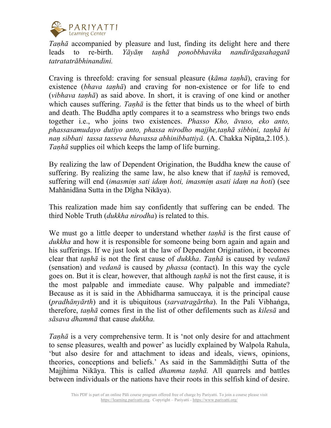

*Tanha* accompanied by pleasure and lust, finding its delight here and there leads to re-birth. *Yāyāṃ taṇhā ponobbhavika nandirāgasahagatā tatratatrābhinandini.*

Craving is threefold: craving for sensual pleasure (*kāma taṇhā*), craving for existence (*bhava tanha*) and craving for non-existence or for life to end (*vibhava taṇhā*) as said above. In short, it is craving of one kind or another which causes suffering. *Taṇhā* is the fetter that binds us to the wheel of birth and death. The Buddha aptly compares it to a seamstress who brings two ends together i.e., who joins two existences. *Phasso Kho, āvuso, eko anto, phassasamudayo dutiyo anto, phassa nirodho majjhe,taṇhā sibbini, taṇhā hi naṇ sibbati tassa tasseva bhavassa abhinibbattiyā.* (A. Chakka Nipāta,2.105*.*). *Taṇhā* supplies oil which keeps the lamp of life burning.

By realizing the law of Dependent Origination, the Buddha knew the cause of suffering. By realizing the same law, he also knew that if *taṇhā* is removed, suffering will end (*imasmiṃ sati idaṃ hoti, imasmiṃ asati idaṃ na hoti*) (see Mahānidāna Sutta in the Dīgha Nikāya).

This realization made him say confidently that suffering can be ended. The third Noble Truth (*dukkha nirodha*) is related to this.

We must go a little deeper to understand whether *taṇhā* is the first cause of *dukkha* and how it is responsible for someone being born again and again and his sufferings. If we just look at the law of Dependent Origination, it becomes clear that *taṇhā* is not the first cause of *dukkha*. *Taṇhā* is caused by *vedanā* (sensation) and *vedanā* is caused by *phassa* (contact). In this way the cycle goes on. But it is clear, however, that although *taṇhā* is not the first cause, it is the most palpable and immediate cause. Why palpable and immediate? Because as it is said in the Abhidharma samuccaya*,* it is the principal cause (*pradhānyārth*) and it is ubiquitous (*sarvatragārtha*). In the Pali Vibhaṅga, therefore, *taṇhā* comes first in the list of other defilements such as *kilesā* and *sāsava dhammā* that cause *dukkha.*

*Tanha* is a very comprehensive term. It is 'not only desire for and attachment to sense pleasures, wealth and power' as lucidly explained by Walpola Rahula, 'but also desire for and attachment to ideas and ideals, views, opinions, theories, conceptions and beliefs.' As said in the Sammādiṭṭhi Sutta of the Majjhima Nikāya. This is called *dhamma taṇhā.* All quarrels and battles between individuals or the nations have their roots in this selfish kind of desire.